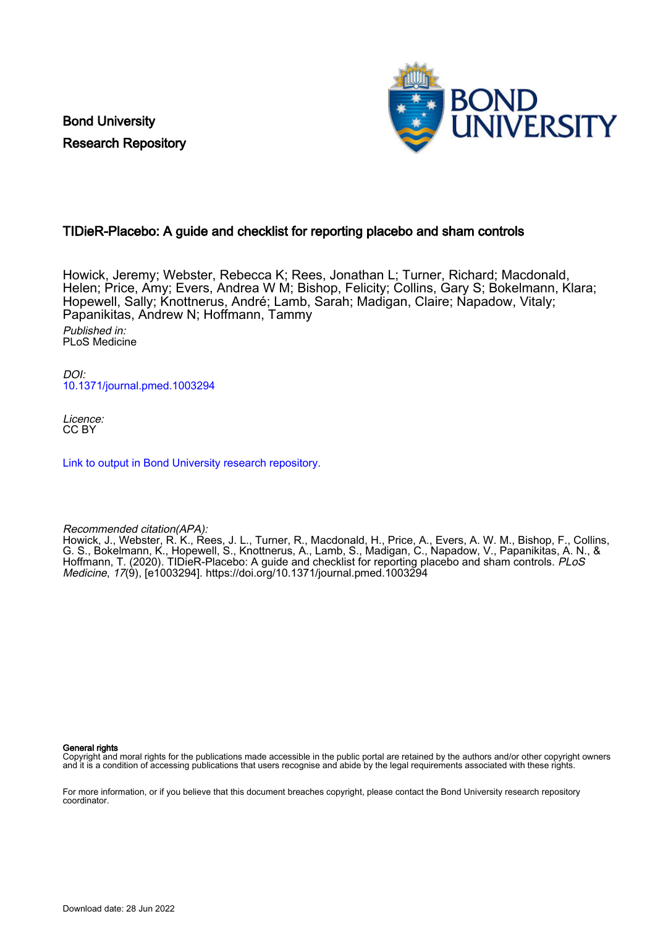Bond University Research Repository



# TIDieR-Placebo: A guide and checklist for reporting placebo and sham controls

Howick, Jeremy; Webster, Rebecca K; Rees, Jonathan L; Turner, Richard; Macdonald, Helen; Price, Amy; Evers, Andrea W M; Bishop, Felicity; Collins, Gary S; Bokelmann, Klara; Hopewell, Sally; Knottnerus, André; Lamb, Sarah; Madigan, Claire; Napadow, Vitaly; Papanikitas, Andrew N; Hoffmann, Tammy Published in: PLoS Medicine

DOI: [10.1371/journal.pmed.1003294](https://doi.org/10.1371/journal.pmed.1003294)

Licence: CC BY

[Link to output in Bond University research repository.](https://research.bond.edu.au/en/publications/8f06cf65-24d3-40e6-bf4c-dac9919efac3)

Recommended citation(APA):

Howick, J., Webster, R. K., Rees, J. L., Turner, R., Macdonald, H., Price, A., Evers, A. W. M., Bishop, F., Collins, G. S., Bokelmann, K., Hopewell, S., Knottnerus, A., Lamb, S., Madigan, C., Napadow, V., Papanikitas, A. N., & Hoffmann, T. (2020). TIDieR-Placebo: A guide and checklist for reporting placebo and sham controls.  $PLoS$ Medicine, 17(9), [e1003294]. <https://doi.org/10.1371/journal.pmed.1003294>

#### General rights

Copyright and moral rights for the publications made accessible in the public portal are retained by the authors and/or other copyright owners and it is a condition of accessing publications that users recognise and abide by the legal requirements associated with these rights.

For more information, or if you believe that this document breaches copyright, please contact the Bond University research repository coordinator.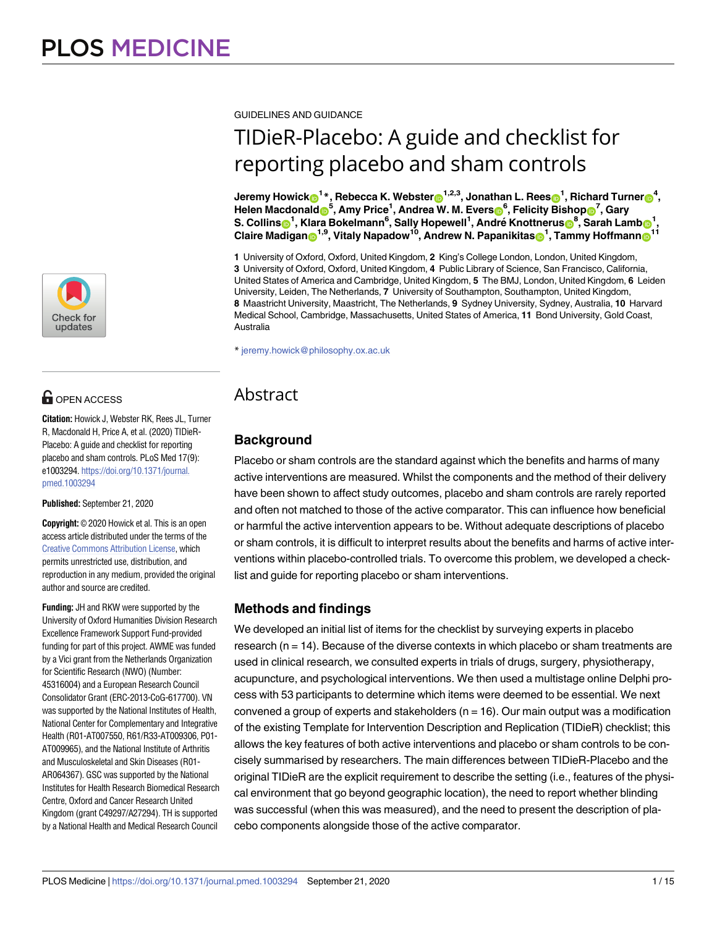

# **G** OPEN ACCESS

**Citation:** Howick J, Webster RK, Rees JL, Turner R, Macdonald H, Price A, et al. (2020) TIDieR-Placebo: A guide and checklist for reporting placebo and sham controls. PLoS Med 17(9): e1003294. [https://doi.org/10.1371/journal.](https://doi.org/10.1371/journal.pmed.1003294) [pmed.1003294](https://doi.org/10.1371/journal.pmed.1003294)

**Published:** September 21, 2020

**Copyright:** © 2020 Howick et al. This is an open access article distributed under the terms of the Creative Commons [Attribution](http://creativecommons.org/licenses/by/4.0/) License, which permits unrestricted use, distribution, and reproduction in any medium, provided the original author and source are credited.

**Funding:** JH and RKW were supported by the University of Oxford Humanities Division Research Excellence Framework Support Fund-provided funding for part of this project. AWME was funded by a Vici grant from the Netherlands Organization for Scientific Research (NWO) (Number: 45316004) and a European Research Council Consolidator Grant (ERC-2013-CoG-617700). VN was supported by the National Institutes of Health, National Center for Complementary and Integrative Health (R01-AT007550, R61/R33-AT009306, P01- AT009965), and the National Institute of Arthritis and Musculoskeletal and Skin Diseases (R01- AR064367). GSC was supported by the National Institutes for Health Research Biomedical Research Centre, Oxford and Cancer Research United Kingdom (grant C49297/A27294). TH is supported by a National Health and Medical Research Council

GUIDELINES AND GUIDANCE

# TIDieR-Placebo: A guide and checklist for reporting placebo and sham controls

Jeremy Howick⊕<sup>1</sup>\*, Rebecca K. Webster⋒<sup>1,2,3</sup>, Jonathan L. Rees⋒<sup>1</sup>, Richard Turner⋒<sup>4</sup>,  $H$ elen  $M$ acdonald $\bullet$ <sup>5</sup>, Amy Price<sup>1</sup>, Andrea W. M. Evers $\bullet$ 6, Felicity Bishop $\bullet$ <sup>7</sup>, Gary S. Collins⋒<sup>1</sup>, Klara Bokelmann<sup>6</sup>, Sally Hopewell<sup>1</sup>, André Knottnerus⋒<sup>8</sup>, Sarah Lamb⋒<sup>1</sup>,  $\blacksquare$ **Claire Madigan** $\blacksquare^{1,9}$ **, Vitaly Napadow<sup>10</sup>, Andrew N. Papanikitas** $\blacksquare^1$ **, Tammy Hoffmann** $\blacksquare^1$ 

**1** University of Oxford, Oxford, United Kingdom, **2** King's College London, London, United Kingdom, **3** University of Oxford, Oxford, United Kingdom, **4** Public Library of Science, San Francisco, California, United States of America and Cambridge, United Kingdom, **5** The BMJ, London, United Kingdom, **6** Leiden University, Leiden, The Netherlands, **7** University of Southampton, Southampton, United Kingdom, **8** Maastricht University, Maastricht, The Netherlands, **9** Sydney University, Sydney, Australia, **10** Harvard Medical School, Cambridge, Massachusetts, United States of America, **11** Bond University, Gold Coast, Australia

\* jeremy.howick@philosophy.ox.ac.uk

# Abstract

# **Background**

Placebo or sham controls are the standard against which the benefits and harms of many active interventions are measured. Whilst the components and the method of their delivery have been shown to affect study outcomes, placebo and sham controls are rarely reported and often not matched to those of the active comparator. This can influence how beneficial or harmful the active intervention appears to be. Without adequate descriptions of placebo or sham controls, it is difficult to interpret results about the benefits and harms of active interventions within placebo-controlled trials. To overcome this problem, we developed a checklist and guide for reporting placebo or sham interventions.

# **Methods and findings**

We developed an initial list of items for the checklist by surveying experts in placebo research  $(n = 14)$ . Because of the diverse contexts in which placebo or sham treatments are used in clinical research, we consulted experts in trials of drugs, surgery, physiotherapy, acupuncture, and psychological interventions. We then used a multistage online Delphi process with 53 participants to determine which items were deemed to be essential. We next convened a group of experts and stakeholders ( $n = 16$ ). Our main output was a modification of the existing Template for Intervention Description and Replication (TIDieR) checklist; this allows the key features of both active interventions and placebo or sham controls to be concisely summarised by researchers. The main differences between TIDieR-Placebo and the original TIDieR are the explicit requirement to describe the setting (i.e., features of the physical environment that go beyond geographic location), the need to report whether blinding was successful (when this was measured), and the need to present the description of placebo components alongside those of the active comparator.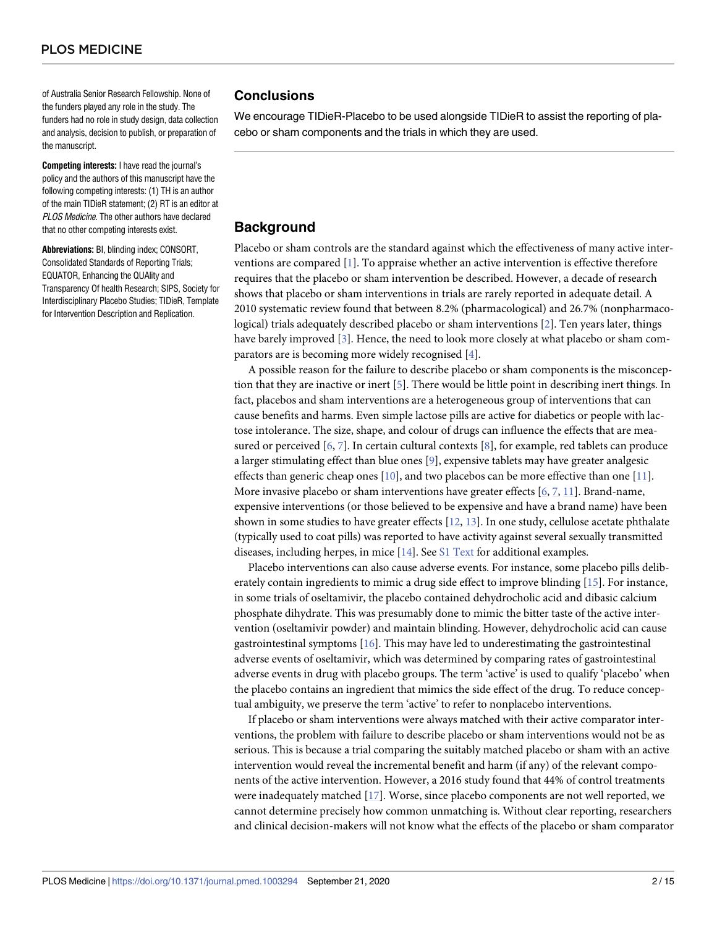<span id="page-2-0"></span>of Australia Senior Research Fellowship. None of the funders played any role in the study. The funders had no role in study design, data collection and analysis, decision to publish, or preparation of the manuscript.

**Competing interests:** I have read the journal's policy and the authors of this manuscript have the following competing interests: (1) TH is an author of the main TIDieR statement; (2) RT is an editor at PLOS Medicine. The other authors have declared that no other competing interests exist.

**Abbreviations:** BI, blinding index; CONSORT, Consolidated Standards of Reporting Trials; EQUATOR, Enhancing the QUAlity and Transparency Of health Research; SIPS, Society for Interdisciplinary Placebo Studies; TIDieR, Template for Intervention Description and Replication.

## **Conclusions**

We encourage TIDieR-Placebo to be used alongside TIDieR to assist the reporting of placebo or sham components and the trials in which they are used.

# **Background**

Placebo or sham controls are the standard against which the effectiveness of many active interventions are compared [[1](#page-12-0)]. To appraise whether an active intervention is effective therefore requires that the placebo or sham intervention be described. However, a decade of research shows that placebo or sham interventions in trials are rarely reported in adequate detail. A 2010 systematic review found that between 8.2% (pharmacological) and 26.7% (nonpharmacological) trials adequately described placebo or sham interventions [\[2\]](#page-12-0). Ten years later, things have barely improved [[3](#page-12-0)]. Hence, the need to look more closely at what placebo or sham comparators are is becoming more widely recognised [\[4](#page-12-0)].

A possible reason for the failure to describe placebo or sham components is the misconception that they are inactive or inert [[5\]](#page-12-0). There would be little point in describing inert things. In fact, placebos and sham interventions are a heterogeneous group of interventions that can cause benefits and harms. Even simple lactose pills are active for diabetics or people with lactose intolerance. The size, shape, and colour of drugs can influence the effects that are measured or perceived  $[6, 7]$  $[6, 7]$  $[6, 7]$  $[6, 7]$ . In certain cultural contexts  $[8]$  $[8]$ , for example, red tablets can produce a larger stimulating effect than blue ones [[9](#page-12-0)], expensive tablets may have greater analgesic effects than generic cheap ones [\[10\]](#page-12-0), and two placebos can be more effective than one [[11](#page-12-0)]. More invasive placebo or sham interventions have greater effects [[6](#page-12-0), [7,](#page-12-0) [11](#page-12-0)]. Brand-name, expensive interventions (or those believed to be expensive and have a brand name) have been shown in some studies to have greater effects [[12](#page-12-0), [13](#page-12-0)]. In one study, cellulose acetate phthalate (typically used to coat pills) was reported to have activity against several sexually transmitted diseases, including herpes, in mice [\[14\]](#page-13-0). See S1 [Text](#page-12-0) for additional examples.

Placebo interventions can also cause adverse events. For instance, some placebo pills deliberately contain ingredients to mimic a drug side effect to improve blinding [[15](#page-13-0)]. For instance, in some trials of oseltamivir, the placebo contained dehydrocholic acid and dibasic calcium phosphate dihydrate. This was presumably done to mimic the bitter taste of the active intervention (oseltamivir powder) and maintain blinding. However, dehydrocholic acid can cause gastrointestinal symptoms  $[16]$  $[16]$ . This may have led to underestimating the gastrointestinal adverse events of oseltamivir, which was determined by comparing rates of gastrointestinal adverse events in drug with placebo groups. The term 'active' is used to qualify 'placebo' when the placebo contains an ingredient that mimics the side effect of the drug. To reduce conceptual ambiguity, we preserve the term 'active' to refer to nonplacebo interventions.

If placebo or sham interventions were always matched with their active comparator interventions, the problem with failure to describe placebo or sham interventions would not be as serious. This is because a trial comparing the suitably matched placebo or sham with an active intervention would reveal the incremental benefit and harm (if any) of the relevant components of the active intervention. However, a 2016 study found that 44% of control treatments were inadequately matched [\[17\]](#page-13-0). Worse, since placebo components are not well reported, we cannot determine precisely how common unmatching is. Without clear reporting, researchers and clinical decision-makers will not know what the effects of the placebo or sham comparator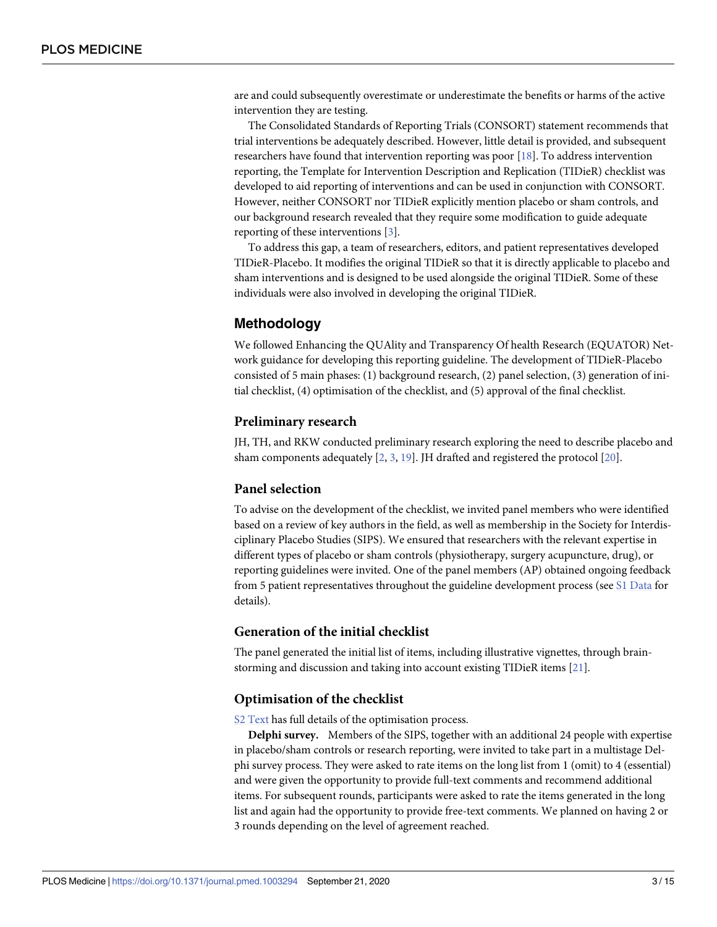<span id="page-3-0"></span>are and could subsequently overestimate or underestimate the benefits or harms of the active intervention they are testing.

The Consolidated Standards of Reporting Trials (CONSORT) statement recommends that trial interventions be adequately described. However, little detail is provided, and subsequent researchers have found that intervention reporting was poor [\[18\]](#page-13-0). To address intervention reporting, the Template for Intervention Description and Replication (TIDieR) checklist was developed to aid reporting of interventions and can be used in conjunction with CONSORT. However, neither CONSORT nor TIDieR explicitly mention placebo or sham controls, and our background research revealed that they require some modification to guide adequate reporting of these interventions [\[3](#page-12-0)].

To address this gap, a team of researchers, editors, and patient representatives developed TIDieR-Placebo. It modifies the original TIDieR so that it is directly applicable to placebo and sham interventions and is designed to be used alongside the original TIDieR. Some of these individuals were also involved in developing the original TIDieR.

# **Methodology**

We followed Enhancing the QUAlity and Transparency Of health Research (EQUATOR) Network guidance for developing this reporting guideline. The development of TIDieR-Placebo consisted of 5 main phases: (1) background research, (2) panel selection, (3) generation of initial checklist, (4) optimisation of the checklist, and (5) approval of the final checklist.

#### **Preliminary research**

JH, TH, and RKW conducted preliminary research exploring the need to describe placebo and sham components adequately [[2](#page-12-0), [3,](#page-12-0) [19\]](#page-13-0). JH drafted and registered the protocol [\[20\]](#page-13-0).

# **Panel selection**

To advise on the development of the checklist, we invited panel members who were identified based on a review of key authors in the field, as well as membership in the Society for Interdisciplinary Placebo Studies (SIPS). We ensured that researchers with the relevant expertise in different types of placebo or sham controls (physiotherapy, surgery acupuncture, drug), or reporting guidelines were invited. One of the panel members (AP) obtained ongoing feedback from 5 patient representatives throughout the guideline development process (see S1 [Data](#page-11-0) for details).

#### **Generation of the initial checklist**

The panel generated the initial list of items, including illustrative vignettes, through brainstorming and discussion and taking into account existing TIDieR items [\[21\]](#page-13-0).

#### **Optimisation of the checklist**

S2 [Text](#page-12-0) has full details of the optimisation process.

**Delphi survey.** Members of the SIPS, together with an additional 24 people with expertise in placebo/sham controls or research reporting, were invited to take part in a multistage Delphi survey process. They were asked to rate items on the long list from 1 (omit) to 4 (essential) and were given the opportunity to provide full-text comments and recommend additional items. For subsequent rounds, participants were asked to rate the items generated in the long list and again had the opportunity to provide free-text comments. We planned on having 2 or 3 rounds depending on the level of agreement reached.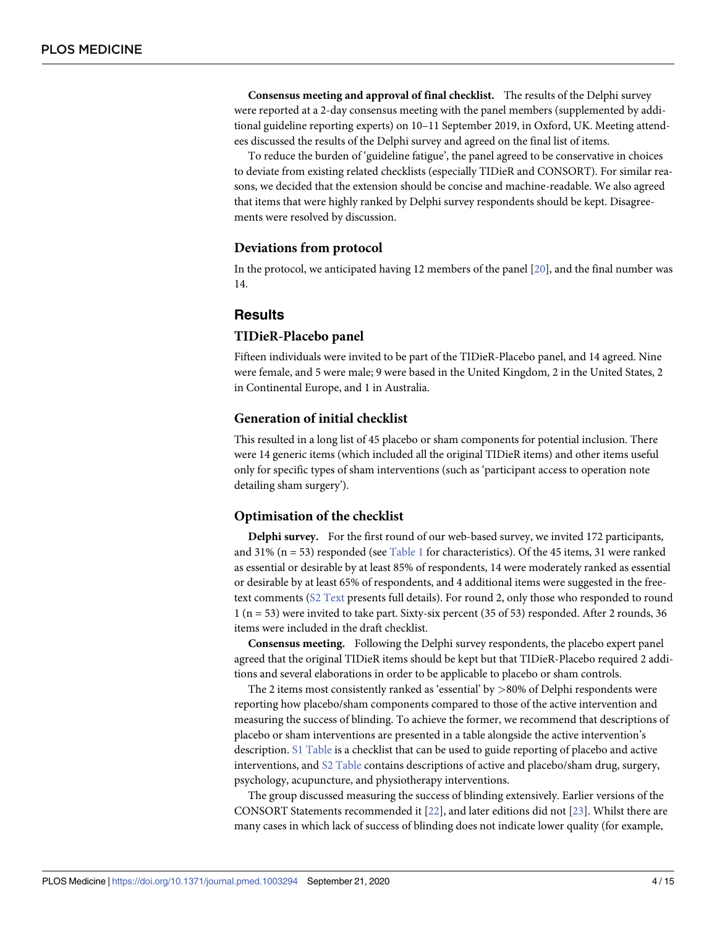<span id="page-4-0"></span>**Consensus meeting and approval of final checklist.** The results of the Delphi survey were reported at a 2-day consensus meeting with the panel members (supplemented by additional guideline reporting experts) on 10–11 September 2019, in Oxford, UK. Meeting attendees discussed the results of the Delphi survey and agreed on the final list of items.

To reduce the burden of 'guideline fatigue', the panel agreed to be conservative in choices to deviate from existing related checklists (especially TIDieR and CONSORT). For similar reasons, we decided that the extension should be concise and machine-readable. We also agreed that items that were highly ranked by Delphi survey respondents should be kept. Disagreements were resolved by discussion.

#### **Deviations from protocol**

In the protocol, we anticipated having 12 members of the panel [\[20\]](#page-13-0), and the final number was 14.

#### **Results**

#### **TIDieR-Placebo panel**

Fifteen individuals were invited to be part of the TIDieR-Placebo panel, and 14 agreed. Nine were female, and 5 were male; 9 were based in the United Kingdom, 2 in the United States, 2 in Continental Europe, and 1 in Australia.

## **Generation of initial checklist**

This resulted in a long list of 45 placebo or sham components for potential inclusion. There were 14 generic items (which included all the original TIDieR items) and other items useful only for specific types of sham interventions (such as 'participant access to operation note detailing sham surgery').

#### **Optimisation of the checklist**

**Delphi survey.** For the first round of our web-based survey, we invited 172 participants, and 31% ( $n = 53$ ) responded (see [Table](#page-5-0) 1 for characteristics). Of the 45 items, 31 were ranked as essential or desirable by at least 85% of respondents, 14 were moderately ranked as essential or desirable by at least 65% of respondents, and 4 additional items were suggested in the freetext comments (S2 [Text](#page-12-0) presents full details). For round 2, only those who responded to round 1 (n = 53) were invited to take part. Sixty-six percent (35 of 53) responded. After 2 rounds, 36 items were included in the draft checklist.

**Consensus meeting.** Following the Delphi survey respondents, the placebo expert panel agreed that the original TIDieR items should be kept but that TIDieR-Placebo required 2 additions and several elaborations in order to be applicable to placebo or sham controls.

The 2 items most consistently ranked as 'essential' by *>*80% of Delphi respondents were reporting how placebo/sham components compared to those of the active intervention and measuring the success of blinding. To achieve the former, we recommend that descriptions of placebo or sham interventions are presented in a table alongside the active intervention's description. S1 [Table](#page-11-0) is a checklist that can be used to guide reporting of placebo and active interventions, and S2 [Table](#page-11-0) contains descriptions of active and placebo/sham drug, surgery, psychology, acupuncture, and physiotherapy interventions.

The group discussed measuring the success of blinding extensively. Earlier versions of the CONSORT Statements recommended it [[22](#page-13-0)], and later editions did not [\[23\]](#page-13-0). Whilst there are many cases in which lack of success of blinding does not indicate lower quality (for example,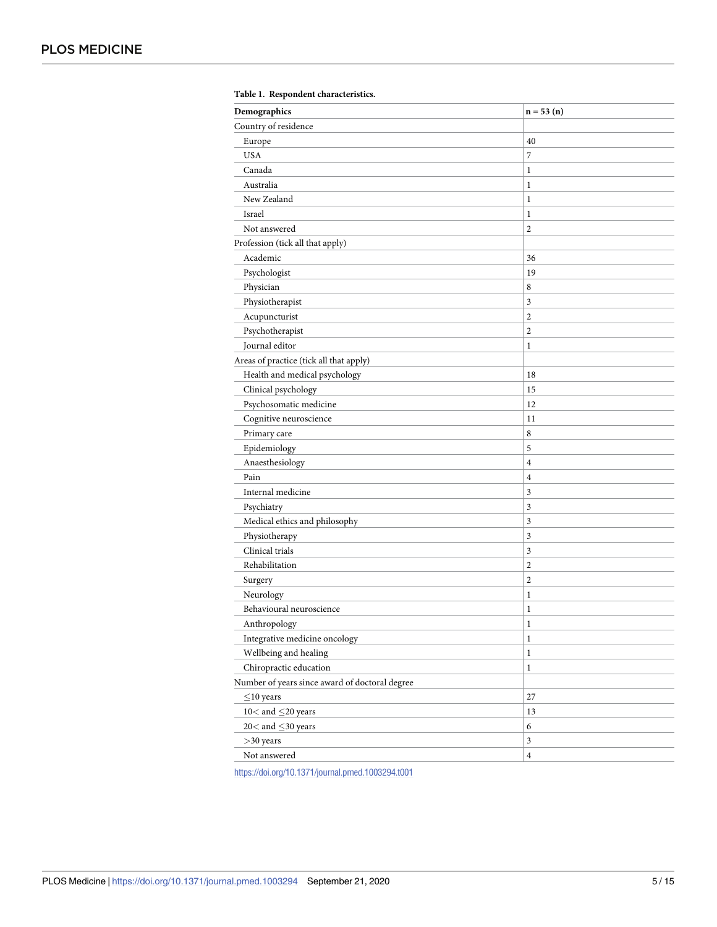<span id="page-5-0"></span>

| Demographics                                   | $n = 53(n)$    |
|------------------------------------------------|----------------|
| Country of residence                           |                |
| Europe                                         | 40             |
| <b>USA</b>                                     | 7              |
| Canada                                         | $\mathbf{1}$   |
| Australia                                      | $\mathbf{1}$   |
| New Zealand                                    | $\mathbf{1}$   |
| Israel                                         | $\mathbf{1}$   |
| Not answered                                   | $\overline{c}$ |
| Profession (tick all that apply)               |                |
| Academic                                       | 36             |
| Psychologist                                   | 19             |
| Physician                                      | 8              |
| Physiotherapist                                | 3              |
| Acupuncturist                                  | $\overline{c}$ |
| Psychotherapist                                | $\overline{c}$ |
| Journal editor                                 | $\mathbf{1}$   |
| Areas of practice (tick all that apply)        |                |
| Health and medical psychology                  | 18             |
| Clinical psychology                            | 15             |
| Psychosomatic medicine                         | 12             |
| Cognitive neuroscience                         | 11             |
| Primary care                                   | 8              |
| Epidemiology                                   | 5              |
| Anaesthesiology                                | $\overline{4}$ |
| Pain                                           | $\overline{4}$ |
| Internal medicine                              | 3              |
| Psychiatry                                     | 3              |
| Medical ethics and philosophy                  | 3              |
| Physiotherapy                                  | 3              |
| Clinical trials                                | 3              |
| Rehabilitation                                 | $\overline{c}$ |
| Surgery                                        | $\overline{c}$ |
| Neurology                                      | $\mathbf{1}$   |
| Behavioural neuroscience                       | $\mathbf{1}$   |
| Anthropology                                   | $\,1$          |
| Integrative medicine oncology                  | $\mathbf{1}$   |
| Wellbeing and healing                          | $\mathbf{1}$   |
| Chiropractic education                         | $\mathbf{1}$   |
| Number of years since award of doctoral degree |                |
| $\leq$ 10 years                                | 27             |
| 10< and $\leq$ 20 years                        | 13             |
| 20< and $\leq$ 30 years                        | 6              |
|                                                |                |
| $>$ 30 years                                   | 3              |

| Table 1. Respondent characteristics. |  |  |
|--------------------------------------|--|--|
|--------------------------------------|--|--|

<https://doi.org/10.1371/journal.pmed.1003294.t001>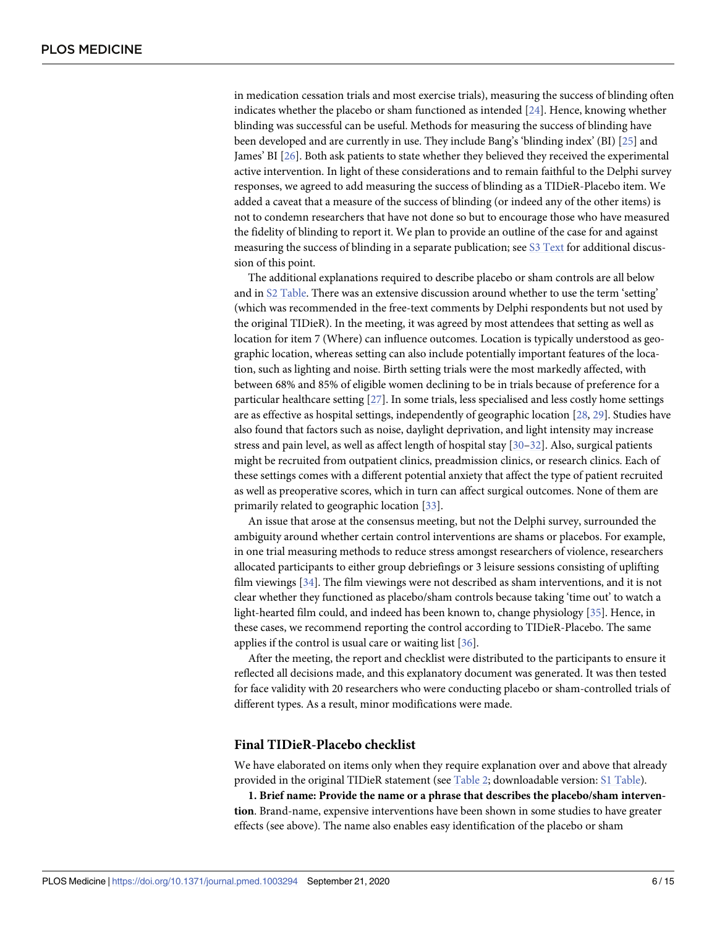<span id="page-6-0"></span>in medication cessation trials and most exercise trials), measuring the success of blinding often indicates whether the placebo or sham functioned as intended [[24](#page-13-0)]. Hence, knowing whether blinding was successful can be useful. Methods for measuring the success of blinding have been developed and are currently in use. They include Bang's 'blinding index' (BI) [\[25\]](#page-13-0) and James' BI [[26](#page-13-0)]. Both ask patients to state whether they believed they received the experimental active intervention. In light of these considerations and to remain faithful to the Delphi survey responses, we agreed to add measuring the success of blinding as a TIDieR-Placebo item. We added a caveat that a measure of the success of blinding (or indeed any of the other items) is not to condemn researchers that have not done so but to encourage those who have measured the fidelity of blinding to report it. We plan to provide an outline of the case for and against measuring the success of blinding in a separate publication; see S3 [Text](#page-12-0) for additional discussion of this point.

The additional explanations required to describe placebo or sham controls are all below and in S2 [Table.](#page-11-0) There was an extensive discussion around whether to use the term 'setting' (which was recommended in the free-text comments by Delphi respondents but not used by the original TIDieR). In the meeting, it was agreed by most attendees that setting as well as location for item 7 (Where) can influence outcomes. Location is typically understood as geographic location, whereas setting can also include potentially important features of the location, such as lighting and noise. Birth setting trials were the most markedly affected, with between 68% and 85% of eligible women declining to be in trials because of preference for a particular healthcare setting [[27](#page-13-0)]. In some trials, less specialised and less costly home settings are as effective as hospital settings, independently of geographic location [\[28,](#page-13-0) [29\]](#page-13-0). Studies have also found that factors such as noise, daylight deprivation, and light intensity may increase stress and pain level, as well as affect length of hospital stay [\[30–32](#page-13-0)]. Also, surgical patients might be recruited from outpatient clinics, preadmission clinics, or research clinics. Each of these settings comes with a different potential anxiety that affect the type of patient recruited as well as preoperative scores, which in turn can affect surgical outcomes. None of them are primarily related to geographic location [[33](#page-13-0)].

An issue that arose at the consensus meeting, but not the Delphi survey, surrounded the ambiguity around whether certain control interventions are shams or placebos. For example, in one trial measuring methods to reduce stress amongst researchers of violence, researchers allocated participants to either group debriefings or 3 leisure sessions consisting of uplifting film viewings [[34](#page-13-0)]. The film viewings were not described as sham interventions, and it is not clear whether they functioned as placebo/sham controls because taking 'time out' to watch a light-hearted film could, and indeed has been known to, change physiology [\[35\]](#page-14-0). Hence, in these cases, we recommend reporting the control according to TIDieR-Placebo. The same applies if the control is usual care or waiting list [\[36\]](#page-14-0).

After the meeting, the report and checklist were distributed to the participants to ensure it reflected all decisions made, and this explanatory document was generated. It was then tested for face validity with 20 researchers who were conducting placebo or sham-controlled trials of different types. As a result, minor modifications were made.

#### **Final TIDieR-Placebo checklist**

We have elaborated on items only when they require explanation over and above that already provided in the original TIDieR statement (see [Table](#page-7-0) 2; downloadable version: S1 [Table](#page-11-0)).

**1. Brief name: Provide the name or a phrase that describes the placebo/sham intervention**. Brand-name, expensive interventions have been shown in some studies to have greater effects (see above). The name also enables easy identification of the placebo or sham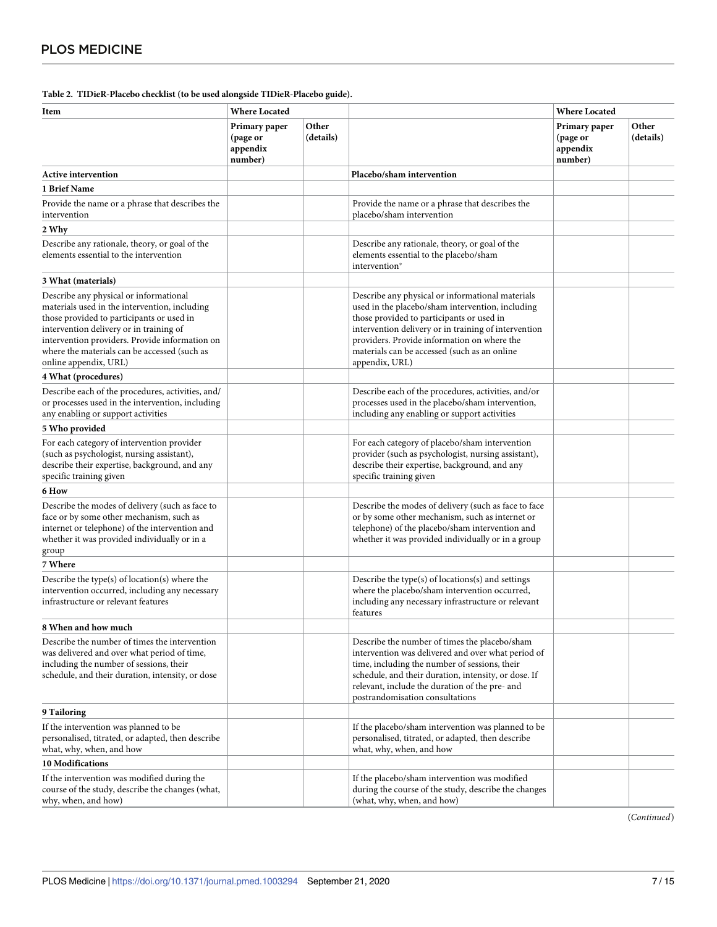#### <span id="page-7-0"></span>**[Table](#page-6-0) 2. TIDieR-Placebo checklist (to be used alongside TIDieR-Placebo guide).**

| Item                                                                                                                                                                                                                                                                                                       | <b>Where Located</b>                             |                    |                                                                                                                                                                                                                                                                                                                            | <b>Where Located</b>                             |                    |
|------------------------------------------------------------------------------------------------------------------------------------------------------------------------------------------------------------------------------------------------------------------------------------------------------------|--------------------------------------------------|--------------------|----------------------------------------------------------------------------------------------------------------------------------------------------------------------------------------------------------------------------------------------------------------------------------------------------------------------------|--------------------------------------------------|--------------------|
|                                                                                                                                                                                                                                                                                                            | Primary paper<br>(page or<br>appendix<br>number) | Other<br>(details) |                                                                                                                                                                                                                                                                                                                            | Primary paper<br>(page or<br>appendix<br>number) | Other<br>(details) |
| <b>Active intervention</b>                                                                                                                                                                                                                                                                                 |                                                  |                    | Placebo/sham intervention                                                                                                                                                                                                                                                                                                  |                                                  |                    |
| 1 Brief Name                                                                                                                                                                                                                                                                                               |                                                  |                    |                                                                                                                                                                                                                                                                                                                            |                                                  |                    |
| Provide the name or a phrase that describes the<br>intervention                                                                                                                                                                                                                                            |                                                  |                    | Provide the name or a phrase that describes the<br>placebo/sham intervention                                                                                                                                                                                                                                               |                                                  |                    |
| 2 Why                                                                                                                                                                                                                                                                                                      |                                                  |                    |                                                                                                                                                                                                                                                                                                                            |                                                  |                    |
| Describe any rationale, theory, or goal of the<br>elements essential to the intervention                                                                                                                                                                                                                   |                                                  |                    | Describe any rationale, theory, or goal of the<br>elements essential to the placebo/sham<br>intervention*                                                                                                                                                                                                                  |                                                  |                    |
| 3 What (materials)                                                                                                                                                                                                                                                                                         |                                                  |                    |                                                                                                                                                                                                                                                                                                                            |                                                  |                    |
| Describe any physical or informational<br>materials used in the intervention, including<br>those provided to participants or used in<br>intervention delivery or in training of<br>intervention providers. Provide information on<br>where the materials can be accessed (such as<br>online appendix, URL) |                                                  |                    | Describe any physical or informational materials<br>used in the placebo/sham intervention, including<br>those provided to participants or used in<br>intervention delivery or in training of intervention<br>providers. Provide information on where the<br>materials can be accessed (such as an online<br>appendix, URL) |                                                  |                    |
| 4 What (procedures)                                                                                                                                                                                                                                                                                        |                                                  |                    |                                                                                                                                                                                                                                                                                                                            |                                                  |                    |
| Describe each of the procedures, activities, and/<br>or processes used in the intervention, including<br>any enabling or support activities                                                                                                                                                                |                                                  |                    | Describe each of the procedures, activities, and/or<br>processes used in the placebo/sham intervention,<br>including any enabling or support activities                                                                                                                                                                    |                                                  |                    |
| 5 Who provided                                                                                                                                                                                                                                                                                             |                                                  |                    |                                                                                                                                                                                                                                                                                                                            |                                                  |                    |
| For each category of intervention provider<br>(such as psychologist, nursing assistant),<br>describe their expertise, background, and any<br>specific training given                                                                                                                                       |                                                  |                    | For each category of placebo/sham intervention<br>provider (such as psychologist, nursing assistant),<br>describe their expertise, background, and any<br>specific training given                                                                                                                                          |                                                  |                    |
| 6 How                                                                                                                                                                                                                                                                                                      |                                                  |                    |                                                                                                                                                                                                                                                                                                                            |                                                  |                    |
| Describe the modes of delivery (such as face to<br>face or by some other mechanism, such as<br>internet or telephone) of the intervention and<br>whether it was provided individually or in a<br>group                                                                                                     |                                                  |                    | Describe the modes of delivery (such as face to face<br>or by some other mechanism, such as internet or<br>telephone) of the placebo/sham intervention and<br>whether it was provided individually or in a group                                                                                                           |                                                  |                    |
| 7 Where                                                                                                                                                                                                                                                                                                    |                                                  |                    |                                                                                                                                                                                                                                                                                                                            |                                                  |                    |
| Describe the type(s) of location(s) where the<br>intervention occurred, including any necessary<br>infrastructure or relevant features                                                                                                                                                                     |                                                  |                    | Describe the type(s) of locations(s) and settings<br>where the placebo/sham intervention occurred,<br>including any necessary infrastructure or relevant<br>features                                                                                                                                                       |                                                  |                    |
| 8 When and how much                                                                                                                                                                                                                                                                                        |                                                  |                    |                                                                                                                                                                                                                                                                                                                            |                                                  |                    |
| Describe the number of times the intervention<br>was delivered and over what period of time,<br>including the number of sessions, their<br>schedule, and their duration, intensity, or dose                                                                                                                |                                                  |                    | Describe the number of times the placebo/sham<br>intervention was delivered and over what period of<br>time, including the number of sessions, their<br>schedule, and their duration, intensity, or dose. If<br>relevant, include the duration of the pre- and<br>postrandomisation consultations                          |                                                  |                    |
| 9 Tailoring                                                                                                                                                                                                                                                                                                |                                                  |                    |                                                                                                                                                                                                                                                                                                                            |                                                  |                    |
| If the intervention was planned to be<br>personalised, titrated, or adapted, then describe<br>what, why, when, and how                                                                                                                                                                                     |                                                  |                    | If the placebo/sham intervention was planned to be<br>personalised, titrated, or adapted, then describe<br>what, why, when, and how                                                                                                                                                                                        |                                                  |                    |
| <b>10 Modifications</b>                                                                                                                                                                                                                                                                                    |                                                  |                    |                                                                                                                                                                                                                                                                                                                            |                                                  |                    |
| If the intervention was modified during the<br>course of the study, describe the changes (what,<br>why, when, and how)                                                                                                                                                                                     |                                                  |                    | If the placebo/sham intervention was modified<br>during the course of the study, describe the changes<br>(what, why, when, and how)                                                                                                                                                                                        |                                                  |                    |

(*Continued*)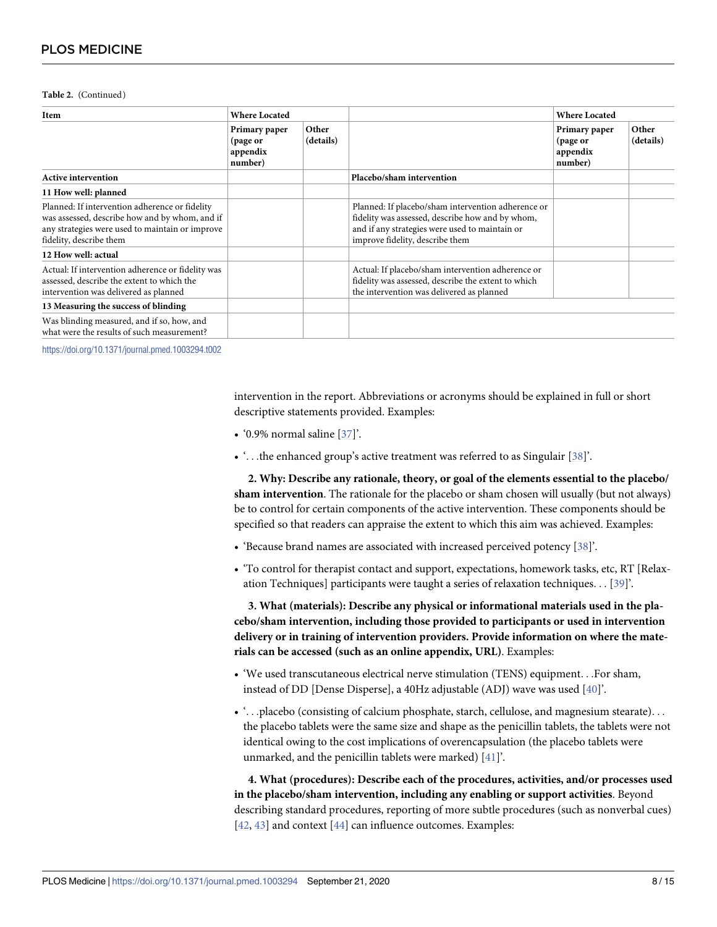<span id="page-8-0"></span>**Table 2.** (Continued)

| Item                                                                                                                                                                           | <b>Where Located</b>                             |                    |                                                                                                                                                                                             | <b>Where Located</b>                             |                    |
|--------------------------------------------------------------------------------------------------------------------------------------------------------------------------------|--------------------------------------------------|--------------------|---------------------------------------------------------------------------------------------------------------------------------------------------------------------------------------------|--------------------------------------------------|--------------------|
|                                                                                                                                                                                | Primary paper<br>(page or<br>appendix<br>number) | Other<br>(details) |                                                                                                                                                                                             | Primary paper<br>(page or<br>appendix<br>number) | Other<br>(details) |
| <b>Active intervention</b>                                                                                                                                                     |                                                  |                    | Placebo/sham intervention                                                                                                                                                                   |                                                  |                    |
| 11 How well: planned                                                                                                                                                           |                                                  |                    |                                                                                                                                                                                             |                                                  |                    |
| Planned: If intervention adherence or fidelity<br>was assessed, describe how and by whom, and if<br>any strategies were used to maintain or improve<br>fidelity, describe them |                                                  |                    | Planned: If placebo/sham intervention adherence or<br>fidelity was assessed, describe how and by whom,<br>and if any strategies were used to maintain or<br>improve fidelity, describe them |                                                  |                    |
| 12 How well: actual                                                                                                                                                            |                                                  |                    |                                                                                                                                                                                             |                                                  |                    |
| Actual: If intervention adherence or fidelity was<br>assessed, describe the extent to which the<br>intervention was delivered as planned                                       |                                                  |                    | Actual: If placebo/sham intervention adherence or<br>fidelity was assessed, describe the extent to which<br>the intervention was delivered as planned                                       |                                                  |                    |
| 13 Measuring the success of blinding                                                                                                                                           |                                                  |                    |                                                                                                                                                                                             |                                                  |                    |
| Was blinding measured, and if so, how, and<br>what were the results of such measurement?                                                                                       |                                                  |                    |                                                                                                                                                                                             |                                                  |                    |

<https://doi.org/10.1371/journal.pmed.1003294.t002>

intervention in the report. Abbreviations or acronyms should be explained in full or short descriptive statements provided. Examples:

- '0.9% normal saline [\[37\]](#page-14-0)'.
- '. . .the enhanced group's active treatment was referred to as Singulair [[38](#page-14-0)]'.

**2. Why: Describe any rationale, theory, or goal of the elements essential to the placebo/ sham intervention**. The rationale for the placebo or sham chosen will usually (but not always) be to control for certain components of the active intervention. These components should be specified so that readers can appraise the extent to which this aim was achieved. Examples:

- 'Because brand names are associated with increased perceived potency [\[38\]](#page-14-0)'.
- 'To control for therapist contact and support, expectations, homework tasks, etc, RT [Relaxation Techniques] participants were taught a series of relaxation techniques. . . [\[39\]](#page-14-0)'.

**3. What (materials): Describe any physical or informational materials used in the placebo/sham intervention, including those provided to participants or used in intervention delivery or in training of intervention providers. Provide information on where the materials can be accessed (such as an online appendix, URL)**. Examples:

- 'We used transcutaneous electrical nerve stimulation (TENS) equipment. . .For sham, instead of DD [Dense Disperse], a 40Hz adjustable (ADJ) wave was used [[40](#page-14-0)]'.
- '. . .placebo (consisting of calcium phosphate, starch, cellulose, and magnesium stearate). . . the placebo tablets were the same size and shape as the penicillin tablets, the tablets were not identical owing to the cost implications of overencapsulation (the placebo tablets were unmarked, and the penicillin tablets were marked) [\[41\]](#page-14-0)'.

**4. What (procedures): Describe each of the procedures, activities, and/or processes used in the placebo/sham intervention, including any enabling or support activities**. Beyond describing standard procedures, reporting of more subtle procedures (such as nonverbal cues) [\[42,](#page-14-0) [43\]](#page-14-0) and context [\[44\]](#page-14-0) can influence outcomes. Examples: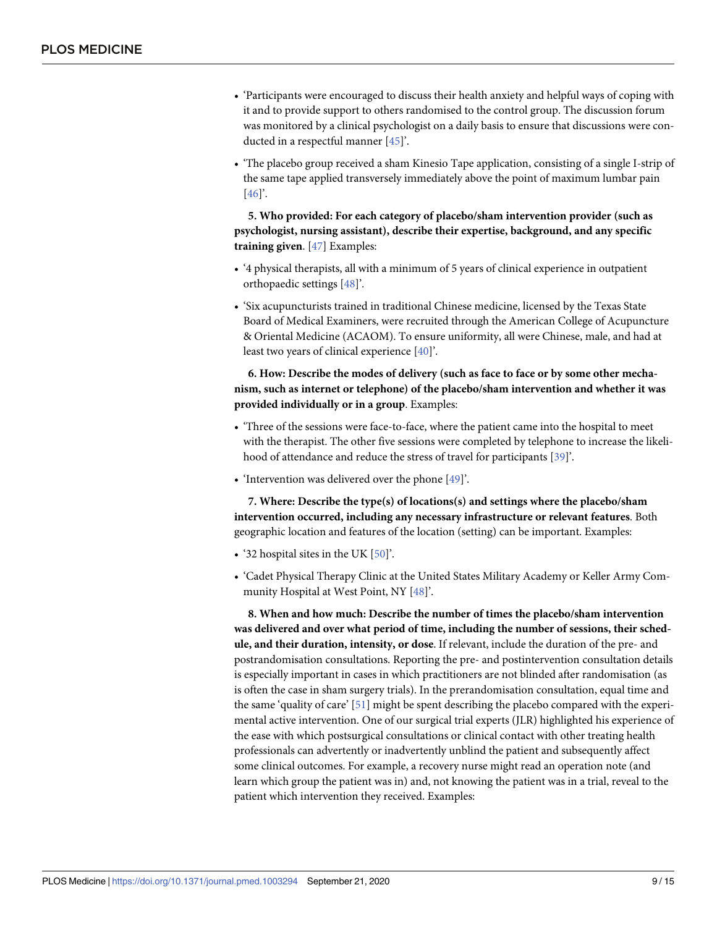- <span id="page-9-0"></span>• 'Participants were encouraged to discuss their health anxiety and helpful ways of coping with it and to provide support to others randomised to the control group. The discussion forum was monitored by a clinical psychologist on a daily basis to ensure that discussions were conducted in a respectful manner [\[45\]](#page-14-0)'.
- 'The placebo group received a sham Kinesio Tape application, consisting of a single I-strip of the same tape applied transversely immediately above the point of maximum lumbar pain [\[46\]](#page-14-0)'.

**5. Who provided: For each category of placebo/sham intervention provider (such as psychologist, nursing assistant), describe their expertise, background, and any specific training given**. [\[47\]](#page-14-0) Examples:

- '4 physical therapists, all with a minimum of 5 years of clinical experience in outpatient orthopaedic settings [[48](#page-14-0)]'.
- 'Six acupuncturists trained in traditional Chinese medicine, licensed by the Texas State Board of Medical Examiners, were recruited through the American College of Acupuncture & Oriental Medicine (ACAOM). To ensure uniformity, all were Chinese, male, and had at least two years of clinical experience [[40](#page-14-0)]'.

**6. How: Describe the modes of delivery (such as face to face or by some other mechanism, such as internet or telephone) of the placebo/sham intervention and whether it was provided individually or in a group**. Examples:

- 'Three of the sessions were face-to-face, where the patient came into the hospital to meet with the therapist. The other five sessions were completed by telephone to increase the likeli-hood of attendance and reduce the stress of travel for participants [\[39\]](#page-14-0)'.
- 'Intervention was delivered over the phone [[49](#page-14-0)]'.

**7. Where: Describe the type(s) of locations(s) and settings where the placebo/sham intervention occurred, including any necessary infrastructure or relevant features**. Both geographic location and features of the location (setting) can be important. Examples:

- '32 hospital sites in the UK [[50](#page-14-0)]'.
- 'Cadet Physical Therapy Clinic at the United States Military Academy or Keller Army Community Hospital at West Point, NY [\[48\]](#page-14-0)'.

**8. When and how much: Describe the number of times the placebo/sham intervention was delivered and over what period of time, including the number of sessions, their schedule, and their duration, intensity, or dose**. If relevant, include the duration of the pre- and postrandomisation consultations. Reporting the pre- and postintervention consultation details is especially important in cases in which practitioners are not blinded after randomisation (as is often the case in sham surgery trials). In the prerandomisation consultation, equal time and the same 'quality of care' [\[51\]](#page-14-0) might be spent describing the placebo compared with the experimental active intervention. One of our surgical trial experts (JLR) highlighted his experience of the ease with which postsurgical consultations or clinical contact with other treating health professionals can advertently or inadvertently unblind the patient and subsequently affect some clinical outcomes. For example, a recovery nurse might read an operation note (and learn which group the patient was in) and, not knowing the patient was in a trial, reveal to the patient which intervention they received. Examples: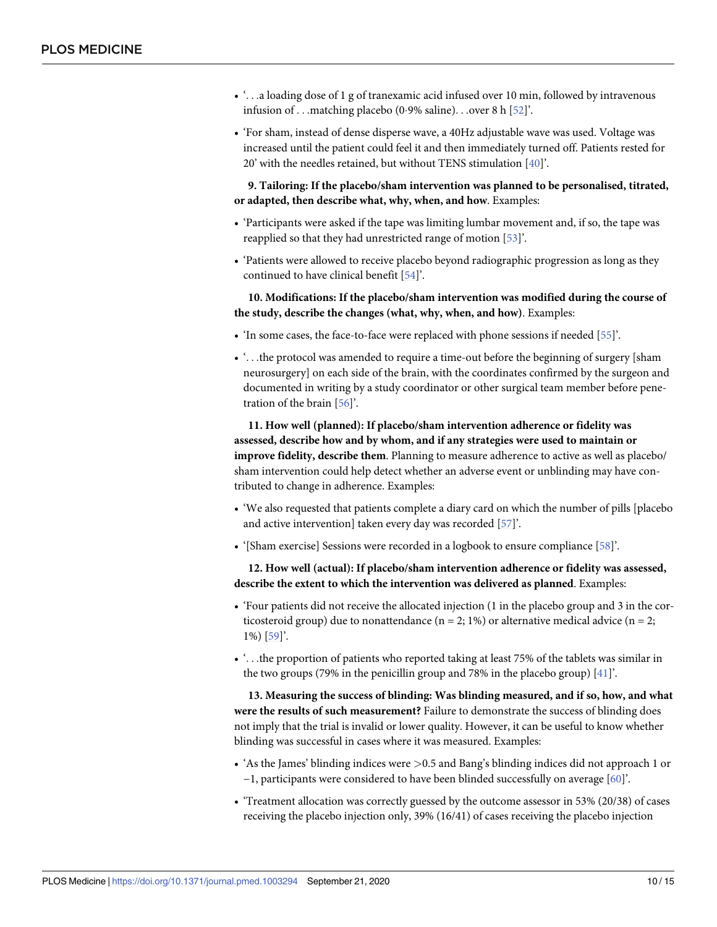- <span id="page-10-0"></span>• '. . .a loading dose of 1 g of tranexamic acid infused over 10 min, followed by intravenous infusion of . . .matching placebo (0.9% saline). . .over 8 h  $[52]$ '.
- 'For sham, instead of dense disperse wave, a 40Hz adjustable wave was used. Voltage was increased until the patient could feel it and then immediately turned off. Patients rested for 20' with the needles retained, but without TENS stimulation [[40](#page-14-0)]'.

**9. Tailoring: If the placebo/sham intervention was planned to be personalised, titrated, or adapted, then describe what, why, when, and how**. Examples:

- 'Participants were asked if the tape was limiting lumbar movement and, if so, the tape was reapplied so that they had unrestricted range of motion [[53](#page-14-0)]'.
- 'Patients were allowed to receive placebo beyond radiographic progression as long as they continued to have clinical benefit [\[54\]](#page-15-0)'.

#### **10. Modifications: If the placebo/sham intervention was modified during the course of the study, describe the changes (what, why, when, and how)**. Examples:

- 'In some cases, the face-to-face were replaced with phone sessions if needed [\[55](#page-15-0)]'.
- $\cdot$ ...the protocol was amended to require a time-out before the beginning of surgery [sham] neurosurgery] on each side of the brain, with the coordinates confirmed by the surgeon and documented in writing by a study coordinator or other surgical team member before penetration of the brain [[56](#page-15-0)]'.

**11. How well (planned): If placebo/sham intervention adherence or fidelity was assessed, describe how and by whom, and if any strategies were used to maintain or improve fidelity, describe them**. Planning to measure adherence to active as well as placebo/ sham intervention could help detect whether an adverse event or unblinding may have contributed to change in adherence. Examples:

- 'We also requested that patients complete a diary card on which the number of pills [placebo and active intervention] taken every day was recorded [[57](#page-15-0)]'.
- '[Sham exercise] Sessions were recorded in a logbook to ensure compliance [\[58\]](#page-15-0)'.

**12. How well (actual): If placebo/sham intervention adherence or fidelity was assessed, describe the extent to which the intervention was delivered as planned**. Examples:

- 'Four patients did not receive the allocated injection (1 in the placebo group and 3 in the corticosteroid group) due to nonattendance (n = 2; 1%) or alternative medical advice (n = 2; 1%) [\[59\]](#page-15-0)'.
- $\therefore$  . the proportion of patients who reported taking at least 75% of the tablets was similar in the two groups (79% in the penicillin group and 78% in the placebo group)  $[41]$ .

**13. Measuring the success of blinding: Was blinding measured, and if so, how, and what were the results of such measurement?** Failure to demonstrate the success of blinding does not imply that the trial is invalid or lower quality. However, it can be useful to know whether blinding was successful in cases where it was measured. Examples:

- 'As the James' blinding indices were *>*0.5 and Bang's blinding indices did not approach 1 or −1, participants were considered to have been blinded successfully on average [\[60\]](#page-15-0)'.
- 'Treatment allocation was correctly guessed by the outcome assessor in 53% (20/38) of cases receiving the placebo injection only, 39% (16/41) of cases receiving the placebo injection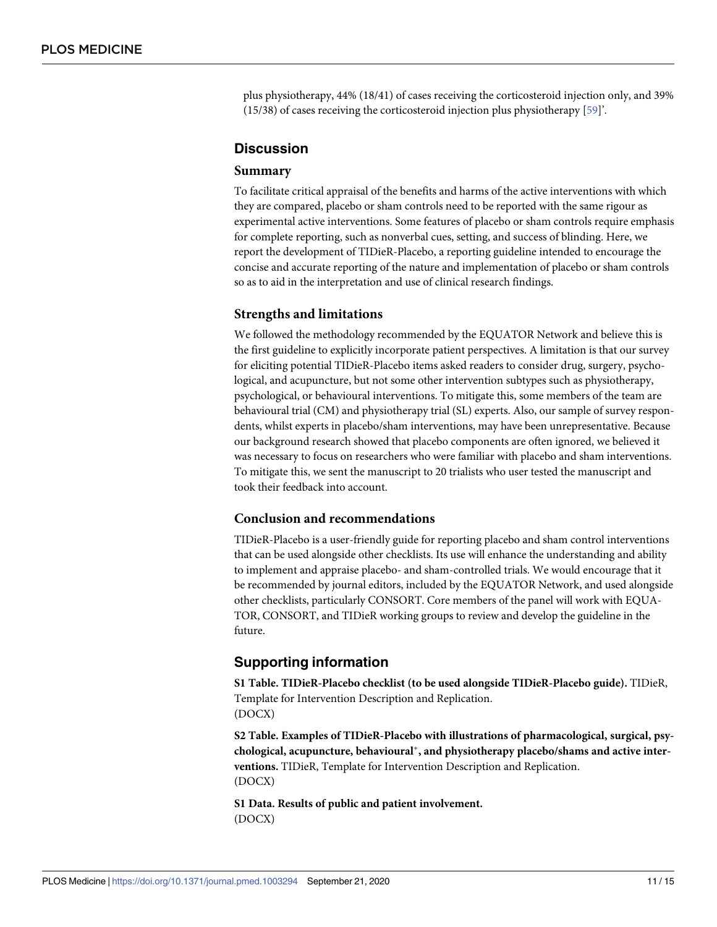<span id="page-11-0"></span>plus physiotherapy, 44% (18/41) of cases receiving the corticosteroid injection only, and 39% (15/38) of cases receiving the corticosteroid injection plus physiotherapy [\[59\]](#page-15-0)'.

## **Discussion**

#### **Summary**

To facilitate critical appraisal of the benefits and harms of the active interventions with which they are compared, placebo or sham controls need to be reported with the same rigour as experimental active interventions. Some features of placebo or sham controls require emphasis for complete reporting, such as nonverbal cues, setting, and success of blinding. Here, we report the development of TIDieR-Placebo, a reporting guideline intended to encourage the concise and accurate reporting of the nature and implementation of placebo or sham controls so as to aid in the interpretation and use of clinical research findings.

#### **Strengths and limitations**

We followed the methodology recommended by the EQUATOR Network and believe this is the first guideline to explicitly incorporate patient perspectives. A limitation is that our survey for eliciting potential TIDieR-Placebo items asked readers to consider drug, surgery, psychological, and acupuncture, but not some other intervention subtypes such as physiotherapy, psychological, or behavioural interventions. To mitigate this, some members of the team are behavioural trial (CM) and physiotherapy trial (SL) experts. Also, our sample of survey respondents, whilst experts in placebo/sham interventions, may have been unrepresentative. Because our background research showed that placebo components are often ignored, we believed it was necessary to focus on researchers who were familiar with placebo and sham interventions. To mitigate this, we sent the manuscript to 20 trialists who user tested the manuscript and took their feedback into account.

#### **Conclusion and recommendations**

TIDieR-Placebo is a user-friendly guide for reporting placebo and sham control interventions that can be used alongside other checklists. Its use will enhance the understanding and ability to implement and appraise placebo- and sham-controlled trials. We would encourage that it be recommended by journal editors, included by the EQUATOR Network, and used alongside other checklists, particularly CONSORT. Core members of the panel will work with EQUA-TOR, CONSORT, and TIDieR working groups to review and develop the guideline in the future.

# **Supporting information**

**S1 [Table.](http://journals.plos.org/plosmedicine/article/asset?unique&id=info:doi/10.1371/journal.pmed.1003294.s001) TIDieR-Placebo checklist (to be used alongside TIDieR-Placebo guide).** TIDieR, Template for Intervention Description and Replication. (DOCX)

**S2 [Table.](http://journals.plos.org/plosmedicine/article/asset?unique&id=info:doi/10.1371/journal.pmed.1003294.s002) Examples of TIDieR-Placebo with illustrations of pharmacological, surgical, psychological, acupuncture, behavioural**�**, and physiotherapy placebo/shams and active interventions.** TIDieR, Template for Intervention Description and Replication. (DOCX)

**S1 [Data](http://journals.plos.org/plosmedicine/article/asset?unique&id=info:doi/10.1371/journal.pmed.1003294.s003). Results of public and patient involvement.** (DOCX)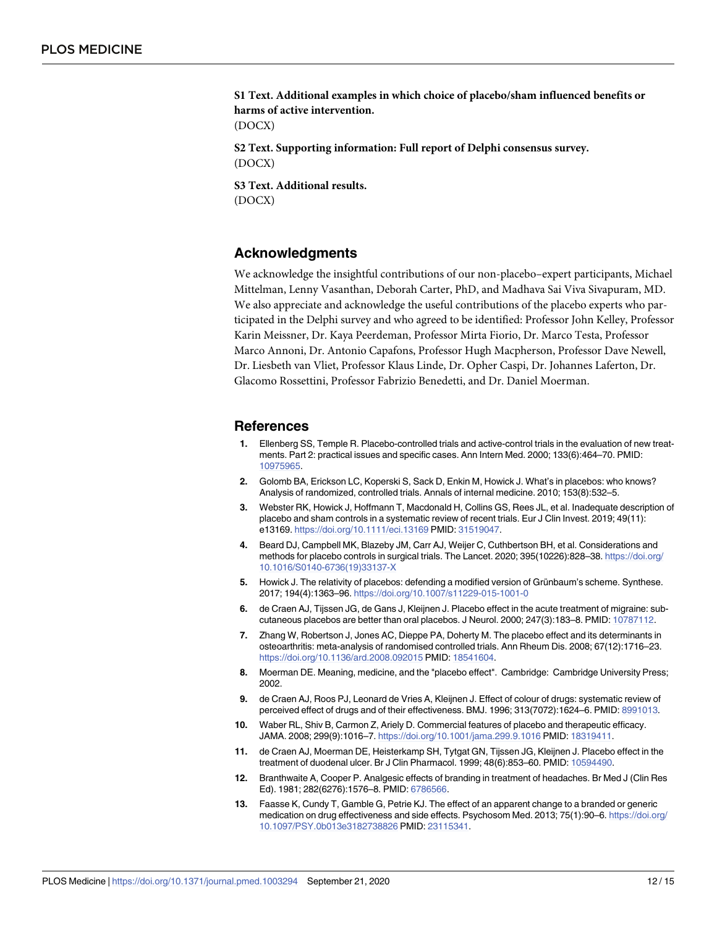<span id="page-12-0"></span>**S1 [Text](http://journals.plos.org/plosmedicine/article/asset?unique&id=info:doi/10.1371/journal.pmed.1003294.s004). Additional examples in which choice of placebo/sham influenced benefits or harms of active intervention.** (DOCX)

**S2 [Text](http://journals.plos.org/plosmedicine/article/asset?unique&id=info:doi/10.1371/journal.pmed.1003294.s005). Supporting information: Full report of Delphi consensus survey.**

(DOCX)

**S3 [Text](http://journals.plos.org/plosmedicine/article/asset?unique&id=info:doi/10.1371/journal.pmed.1003294.s006). Additional results.**

(DOCX)

# **Acknowledgments**

We acknowledge the insightful contributions of our non-placebo–expert participants, Michael Mittelman, Lenny Vasanthan, Deborah Carter, PhD, and Madhava Sai Viva Sivapuram, MD. We also appreciate and acknowledge the useful contributions of the placebo experts who participated in the Delphi survey and who agreed to be identified: Professor John Kelley, Professor Karin Meissner, Dr. Kaya Peerdeman, Professor Mirta Fiorio, Dr. Marco Testa, Professor Marco Annoni, Dr. Antonio Capafons, Professor Hugh Macpherson, Professor Dave Newell, Dr. Liesbeth van Vliet, Professor Klaus Linde, Dr. Opher Caspi, Dr. Johannes Laferton, Dr. Glacomo Rossettini, Professor Fabrizio Benedetti, and Dr. Daniel Moerman.

#### **References**

- **[1](#page-2-0).** Ellenberg SS, Temple R. Placebo-controlled trials and active-control trials in the evaluation of new treatments. Part 2: practical issues and specific cases. Ann Intern Med. 2000; 133(6):464–70. PMID: [10975965](http://www.ncbi.nlm.nih.gov/pubmed/10975965).
- **[2](#page-2-0).** Golomb BA, Erickson LC, Koperski S, Sack D, Enkin M, Howick J. What's in placebos: who knows? Analysis of randomized, controlled trials. Annals of internal medicine. 2010; 153(8):532–5.
- **[3](#page-2-0).** Webster RK, Howick J, Hoffmann T, Macdonald H, Collins GS, Rees JL, et al. Inadequate description of placebo and sham controls in a systematic review of recent trials. Eur J Clin Invest. 2019; 49(11): e13169. <https://doi.org/10.1111/eci.13169> PMID: [31519047.](http://www.ncbi.nlm.nih.gov/pubmed/31519047)
- **[4](#page-2-0).** Beard DJ, Campbell MK, Blazeby JM, Carr AJ, Weijer C, Cuthbertson BH, et al. Considerations and methods for placebo controls in surgical trials. The Lancet. 2020; 395(10226):828–38. [https://doi.org/](https://doi.org/10.1016/S0140-6736(19)33137-X) [10.1016/S0140-6736\(19\)33137-X](https://doi.org/10.1016/S0140-6736(19)33137-X)
- **[5](#page-2-0).** Howick J. The relativity of placebos: defending a modified version of Grünbaum's scheme. Synthese. 2017; 194(4):1363–96. <https://doi.org/10.1007/s11229-015-1001-0>
- **[6](#page-2-0).** de Craen AJ, Tijssen JG, de Gans J, Kleijnen J. Placebo effect in the acute treatment of migraine: subcutaneous placebos are better than oral placebos. J Neurol. 2000; 247(3):183–8. PMID: [10787112](http://www.ncbi.nlm.nih.gov/pubmed/10787112).
- **[7](#page-2-0).** Zhang W, Robertson J, Jones AC, Dieppe PA, Doherty M. The placebo effect and its determinants in osteoarthritis: meta-analysis of randomised controlled trials. Ann Rheum Dis. 2008; 67(12):1716–23. <https://doi.org/10.1136/ard.2008.092015> PMID: [18541604.](http://www.ncbi.nlm.nih.gov/pubmed/18541604)
- **[8](#page-2-0).** Moerman DE. Meaning, medicine, and the "placebo effect". Cambridge: Cambridge University Press; 2002.
- **[9](#page-2-0).** de Craen AJ, Roos PJ, Leonard de Vries A, Kleijnen J. Effect of colour of drugs: systematic review of perceived effect of drugs and of their effectiveness. BMJ. 1996; 313(7072):1624–6. PMID: [8991013.](http://www.ncbi.nlm.nih.gov/pubmed/8991013)
- **[10](#page-2-0).** Waber RL, Shiv B, Carmon Z, Ariely D. Commercial features of placebo and therapeutic efficacy. JAMA. 2008; 299(9):1016–7. <https://doi.org/10.1001/jama.299.9.1016> PMID: [18319411](http://www.ncbi.nlm.nih.gov/pubmed/18319411).
- **[11](#page-2-0).** de Craen AJ, Moerman DE, Heisterkamp SH, Tytgat GN, Tijssen JG, Kleijnen J. Placebo effect in the treatment of duodenal ulcer. Br J Clin Pharmacol. 1999; 48(6):853–60. PMID: [10594490.](http://www.ncbi.nlm.nih.gov/pubmed/10594490)
- **[12](#page-2-0).** Branthwaite A, Cooper P. Analgesic effects of branding in treatment of headaches. Br Med J (Clin Res Ed). 1981; 282(6276):1576–8. PMID: [6786566.](http://www.ncbi.nlm.nih.gov/pubmed/6786566)
- **[13](#page-2-0).** Faasse K, Cundy T, Gamble G, Petrie KJ. The effect of an apparent change to a branded or generic medication on drug effectiveness and side effects. Psychosom Med. 2013; 75(1):90–6. [https://doi.org/](https://doi.org/10.1097/PSY.0b013e3182738826) [10.1097/PSY.0b013e3182738826](https://doi.org/10.1097/PSY.0b013e3182738826) PMID: [23115341](http://www.ncbi.nlm.nih.gov/pubmed/23115341).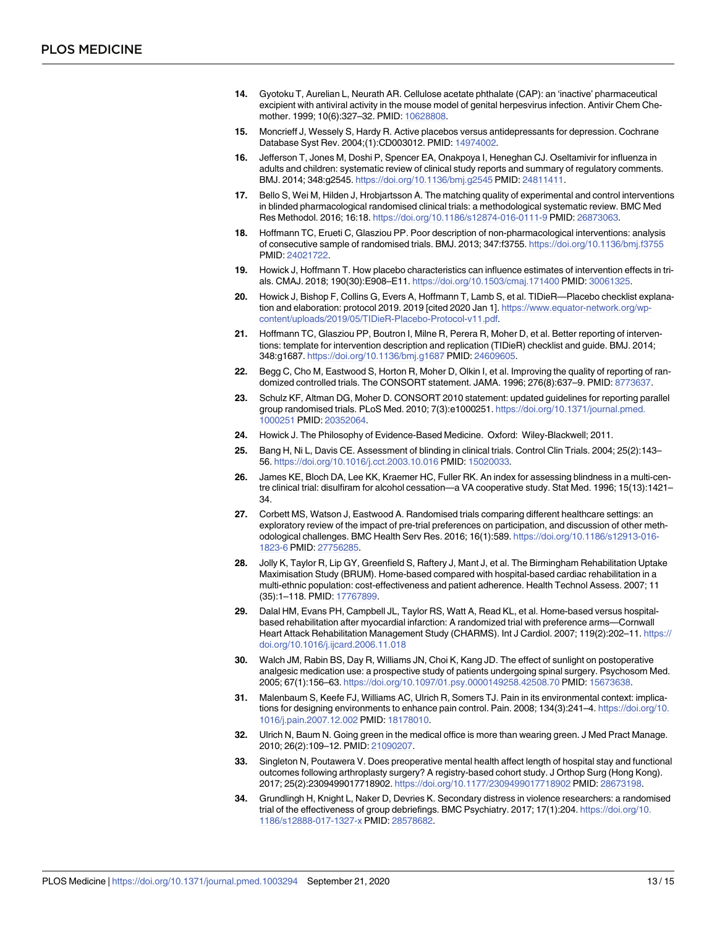- <span id="page-13-0"></span>**[14](#page-2-0).** Gyotoku T, Aurelian L, Neurath AR. Cellulose acetate phthalate (CAP): an 'inactive' pharmaceutical excipient with antiviral activity in the mouse model of genital herpesvirus infection. Antivir Chem Chemother. 1999; 10(6):327–32. PMID: [10628808.](http://www.ncbi.nlm.nih.gov/pubmed/10628808)
- **[15](#page-2-0).** Moncrieff J, Wessely S, Hardy R. Active placebos versus antidepressants for depression. Cochrane Database Syst Rev. 2004;(1):CD003012. PMID: [14974002.](http://www.ncbi.nlm.nih.gov/pubmed/14974002)
- **[16](#page-2-0).** Jefferson T, Jones M, Doshi P, Spencer EA, Onakpoya I, Heneghan CJ. Oseltamivir for influenza in adults and children: systematic review of clinical study reports and summary of regulatory comments. BMJ. 2014; 348:g2545. <https://doi.org/10.1136/bmj.g2545> PMID: [24811411](http://www.ncbi.nlm.nih.gov/pubmed/24811411).
- **[17](#page-2-0).** Bello S, Wei M, Hilden J, Hrobjartsson A. The matching quality of experimental and control interventions in blinded pharmacological randomised clinical trials: a methodological systematic review. BMC Med Res Methodol. 2016; 16:18. <https://doi.org/10.1186/s12874-016-0111-9> PMID: [26873063.](http://www.ncbi.nlm.nih.gov/pubmed/26873063)
- **[18](#page-3-0).** Hoffmann TC, Erueti C, Glasziou PP. Poor description of non-pharmacological interventions: analysis of consecutive sample of randomised trials. BMJ. 2013; 347:f3755. <https://doi.org/10.1136/bmj.f3755> PMID: [24021722](http://www.ncbi.nlm.nih.gov/pubmed/24021722).
- **[19](#page-3-0).** Howick J, Hoffmann T. How placebo characteristics can influence estimates of intervention effects in trials. CMAJ. 2018; 190(30):E908–E11. <https://doi.org/10.1503/cmaj.171400> PMID: [30061325](http://www.ncbi.nlm.nih.gov/pubmed/30061325).
- **[20](#page-3-0).** Howick J, Bishop F, Collins G, Evers A, Hoffmann T, Lamb S, et al. TIDieR—Placebo checklist explanation and elaboration: protocol 2019. 2019 [cited 2020 Jan 1]. [https://www.equator-network.org/wp](https://www.equator-network.org/wp-content/uploads/2019/05/TIDieR-Placebo-Protocol-v11.pdf)[content/uploads/2019/05/TIDieR-Placebo-Protocol-v11.pdf](https://www.equator-network.org/wp-content/uploads/2019/05/TIDieR-Placebo-Protocol-v11.pdf).
- **[21](#page-3-0).** Hoffmann TC, Glasziou PP, Boutron I, Milne R, Perera R, Moher D, et al. Better reporting of interventions: template for intervention description and replication (TIDieR) checklist and guide. BMJ. 2014; 348:g1687. <https://doi.org/10.1136/bmj.g1687> PMID: [24609605](http://www.ncbi.nlm.nih.gov/pubmed/24609605).
- **[22](#page-4-0).** Begg C, Cho M, Eastwood S, Horton R, Moher D, Olkin I, et al. Improving the quality of reporting of randomized controlled trials. The CONSORT statement. JAMA. 1996; 276(8):637–9. PMID: [8773637](http://www.ncbi.nlm.nih.gov/pubmed/8773637).
- **[23](#page-4-0).** Schulz KF, Altman DG, Moher D. CONSORT 2010 statement: updated guidelines for reporting parallel group randomised trials. PLoS Med. 2010; 7(3):e1000251. [https://doi.org/10.1371/journal.pmed.](https://doi.org/10.1371/journal.pmed.1000251) [1000251](https://doi.org/10.1371/journal.pmed.1000251) PMID: [20352064](http://www.ncbi.nlm.nih.gov/pubmed/20352064).
- **[24](#page-6-0).** Howick J. The Philosophy of Evidence-Based Medicine. Oxford: Wiley-Blackwell; 2011.
- **[25](#page-6-0).** Bang H, Ni L, Davis CE. Assessment of blinding in clinical trials. Control Clin Trials. 2004; 25(2):143– 56. <https://doi.org/10.1016/j.cct.2003.10.016> PMID: [15020033.](http://www.ncbi.nlm.nih.gov/pubmed/15020033)
- **[26](#page-6-0).** James KE, Bloch DA, Lee KK, Kraemer HC, Fuller RK. An index for assessing blindness in a multi-centre clinical trial: disulfiram for alcohol cessation—a VA cooperative study. Stat Med. 1996; 15(13):1421– 34.
- **[27](#page-6-0).** Corbett MS, Watson J, Eastwood A. Randomised trials comparing different healthcare settings: an exploratory review of the impact of pre-trial preferences on participation, and discussion of other methodological challenges. BMC Health Serv Res. 2016; 16(1):589. [https://doi.org/10.1186/s12913-016-](https://doi.org/10.1186/s12913-016-1823-6) [1823-6](https://doi.org/10.1186/s12913-016-1823-6) PMID: [27756285](http://www.ncbi.nlm.nih.gov/pubmed/27756285).
- **[28](#page-6-0).** Jolly K, Taylor R, Lip GY, Greenfield S, Raftery J, Mant J, et al. The Birmingham Rehabilitation Uptake Maximisation Study (BRUM). Home-based compared with hospital-based cardiac rehabilitation in a multi-ethnic population: cost-effectiveness and patient adherence. Health Technol Assess. 2007; 11 (35):1–118. PMID: [17767899](http://www.ncbi.nlm.nih.gov/pubmed/17767899).
- **[29](#page-6-0).** Dalal HM, Evans PH, Campbell JL, Taylor RS, Watt A, Read KL, et al. Home-based versus hospitalbased rehabilitation after myocardial infarction: A randomized trial with preference arms—Cornwall Heart Attack Rehabilitation Management Study (CHARMS). Int J Cardiol. 2007; 119(2):202–11. [https://](https://doi.org/10.1016/j.ijcard.2006.11.018) [doi.org/10.1016/j.ijcard.2006.11.018](https://doi.org/10.1016/j.ijcard.2006.11.018)
- **[30](#page-6-0).** Walch JM, Rabin BS, Day R, Williams JN, Choi K, Kang JD. The effect of sunlight on postoperative analgesic medication use: a prospective study of patients undergoing spinal surgery. Psychosom Med. 2005; 67(1):156–63. <https://doi.org/10.1097/01.psy.0000149258.42508.70> PMID: [15673638](http://www.ncbi.nlm.nih.gov/pubmed/15673638).
- **31.** Malenbaum S, Keefe FJ, Williams AC, Ulrich R, Somers TJ. Pain in its environmental context: implications for designing environments to enhance pain control. Pain. 2008; 134(3):241–4. [https://doi.org/10.](https://doi.org/10.1016/j.pain.2007.12.002) [1016/j.pain.2007.12.002](https://doi.org/10.1016/j.pain.2007.12.002) PMID: [18178010](http://www.ncbi.nlm.nih.gov/pubmed/18178010).
- **[32](#page-6-0).** Ulrich N, Baum N. Going green in the medical office is more than wearing green. J Med Pract Manage. 2010; 26(2):109–12. PMID: [21090207](http://www.ncbi.nlm.nih.gov/pubmed/21090207).
- **[33](#page-6-0).** Singleton N, Poutawera V. Does preoperative mental health affect length of hospital stay and functional outcomes following arthroplasty surgery? A registry-based cohort study. J Orthop Surg (Hong Kong). 2017; 25(2):2309499017718902. <https://doi.org/10.1177/2309499017718902> PMID: [28673198.](http://www.ncbi.nlm.nih.gov/pubmed/28673198)
- **[34](#page-6-0).** Grundlingh H, Knight L, Naker D, Devries K. Secondary distress in violence researchers: a randomised trial of the effectiveness of group debriefings. BMC Psychiatry. 2017; 17(1):204. [https://doi.org/10.](https://doi.org/10.1186/s12888-017-1327-x) [1186/s12888-017-1327-x](https://doi.org/10.1186/s12888-017-1327-x) PMID: [28578682.](http://www.ncbi.nlm.nih.gov/pubmed/28578682)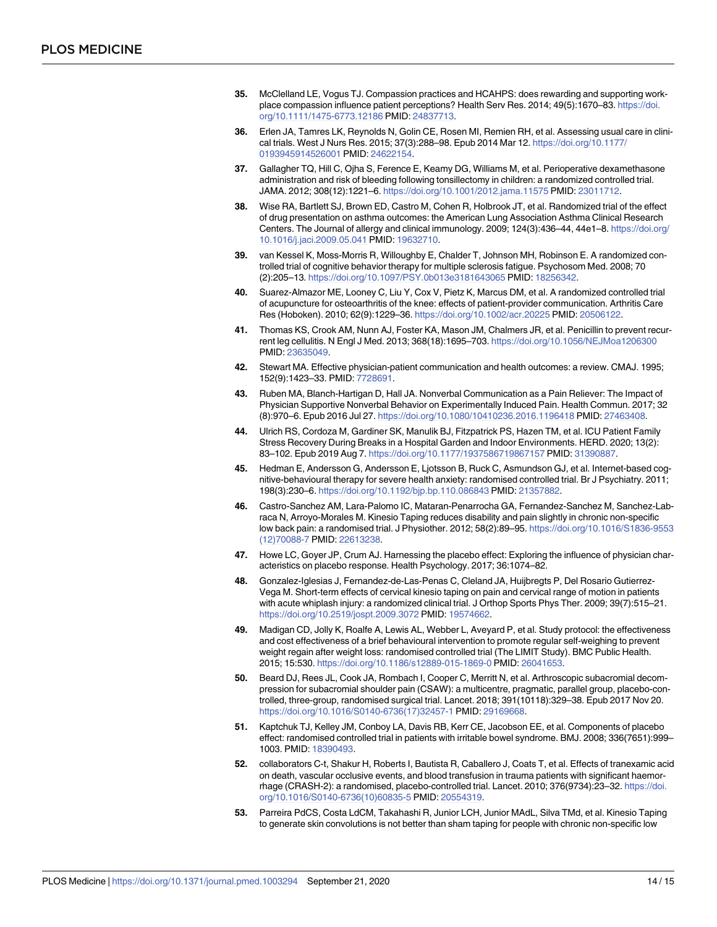- <span id="page-14-0"></span>**[35](#page-6-0).** McClelland LE, Vogus TJ. Compassion practices and HCAHPS: does rewarding and supporting workplace compassion influence patient perceptions? Health Serv Res. 2014; 49(5):1670–83. [https://doi.](https://doi.org/10.1111/1475-6773.12186) [org/10.1111/1475-6773.12186](https://doi.org/10.1111/1475-6773.12186) PMID: [24837713.](http://www.ncbi.nlm.nih.gov/pubmed/24837713)
- **[36](#page-6-0).** Erlen JA, Tamres LK, Reynolds N, Golin CE, Rosen MI, Remien RH, et al. Assessing usual care in clinical trials. West J Nurs Res. 2015; 37(3):288–98. Epub 2014 Mar 12. [https://doi.org/10.1177/](https://doi.org/10.1177/0193945914526001) [0193945914526001](https://doi.org/10.1177/0193945914526001) PMID: [24622154.](http://www.ncbi.nlm.nih.gov/pubmed/24622154)
- **[37](#page-8-0).** Gallagher TQ, Hill C, Ojha S, Ference E, Keamy DG, Williams M, et al. Perioperative dexamethasone administration and risk of bleeding following tonsillectomy in children: a randomized controlled trial. JAMA. 2012; 308(12):1221–6. <https://doi.org/10.1001/2012.jama.11575> PMID: [23011712](http://www.ncbi.nlm.nih.gov/pubmed/23011712).
- **[38](#page-8-0).** Wise RA, Bartlett SJ, Brown ED, Castro M, Cohen R, Holbrook JT, et al. Randomized trial of the effect of drug presentation on asthma outcomes: the American Lung Association Asthma Clinical Research Centers. The Journal of allergy and clinical immunology. 2009; 124(3):436–44, 44e1–8. [https://doi.org/](https://doi.org/10.1016/j.jaci.2009.05.041) [10.1016/j.jaci.2009.05.041](https://doi.org/10.1016/j.jaci.2009.05.041) PMID: [19632710](http://www.ncbi.nlm.nih.gov/pubmed/19632710).
- **[39](#page-8-0).** van Kessel K, Moss-Morris R, Willoughby E, Chalder T, Johnson MH, Robinson E. A randomized controlled trial of cognitive behavior therapy for multiple sclerosis fatigue. Psychosom Med. 2008; 70 (2):205–13. <https://doi.org/10.1097/PSY.0b013e3181643065> PMID: [18256342](http://www.ncbi.nlm.nih.gov/pubmed/18256342).
- **[40](#page-8-0).** Suarez-Almazor ME, Looney C, Liu Y, Cox V, Pietz K, Marcus DM, et al. A randomized controlled trial of acupuncture for osteoarthritis of the knee: effects of patient-provider communication. Arthritis Care Res (Hoboken). 2010; 62(9):1229–36. <https://doi.org/10.1002/acr.20225> PMID: [20506122](http://www.ncbi.nlm.nih.gov/pubmed/20506122).
- **[41](#page-8-0).** Thomas KS, Crook AM, Nunn AJ, Foster KA, Mason JM, Chalmers JR, et al. Penicillin to prevent recurrent leg cellulitis. N Engl J Med. 2013; 368(18):1695–703. <https://doi.org/10.1056/NEJMoa1206300> PMID: [23635049](http://www.ncbi.nlm.nih.gov/pubmed/23635049).
- **[42](#page-8-0).** Stewart MA. Effective physician-patient communication and health outcomes: a review. CMAJ. 1995; 152(9):1423–33. PMID: [7728691](http://www.ncbi.nlm.nih.gov/pubmed/7728691).
- **[43](#page-8-0).** Ruben MA, Blanch-Hartigan D, Hall JA. Nonverbal Communication as a Pain Reliever: The Impact of Physician Supportive Nonverbal Behavior on Experimentally Induced Pain. Health Commun. 2017; 32 (8):970–6. Epub 2016 Jul 27. <https://doi.org/10.1080/10410236.2016.1196418> PMID: [27463408.](http://www.ncbi.nlm.nih.gov/pubmed/27463408)
- **[44](#page-8-0).** Ulrich RS, Cordoza M, Gardiner SK, Manulik BJ, Fitzpatrick PS, Hazen TM, et al. ICU Patient Family Stress Recovery During Breaks in a Hospital Garden and Indoor Environments. HERD. 2020; 13(2): 83–102. Epub 2019 Aug 7. <https://doi.org/10.1177/1937586719867157> PMID: [31390887.](http://www.ncbi.nlm.nih.gov/pubmed/31390887)
- **[45](#page-9-0).** Hedman E, Andersson G, Andersson E, Ljotsson B, Ruck C, Asmundson GJ, et al. Internet-based cognitive-behavioural therapy for severe health anxiety: randomised controlled trial. Br J Psychiatry. 2011; 198(3):230–6. <https://doi.org/10.1192/bjp.bp.110.086843> PMID: [21357882](http://www.ncbi.nlm.nih.gov/pubmed/21357882).
- **[46](#page-9-0).** Castro-Sanchez AM, Lara-Palomo IC, Mataran-Penarrocha GA, Fernandez-Sanchez M, Sanchez-Labraca N, Arroyo-Morales M. Kinesio Taping reduces disability and pain slightly in chronic non-specific low back pain: a randomised trial. J Physiother. 2012; 58(2):89–95. [https://doi.org/10.1016/S1836-9553](https://doi.org/10.1016/S1836-9553(12)70088-7) [\(12\)70088-7](https://doi.org/10.1016/S1836-9553(12)70088-7) PMID: [22613238.](http://www.ncbi.nlm.nih.gov/pubmed/22613238)
- **[47](#page-9-0).** Howe LC, Goyer JP, Crum AJ. Harnessing the placebo effect: Exploring the influence of physician characteristics on placebo response. Health Psychology. 2017; 36:1074–82.
- **[48](#page-9-0).** Gonzalez-Iglesias J, Fernandez-de-Las-Penas C, Cleland JA, Huijbregts P, Del Rosario Gutierrez-Vega M. Short-term effects of cervical kinesio taping on pain and cervical range of motion in patients with acute whiplash injury: a randomized clinical trial. J Orthop Sports Phys Ther. 2009; 39(7):515–21. <https://doi.org/10.2519/jospt.2009.3072> PMID: [19574662](http://www.ncbi.nlm.nih.gov/pubmed/19574662).
- **[49](#page-9-0).** Madigan CD, Jolly K, Roalfe A, Lewis AL, Webber L, Aveyard P, et al. Study protocol: the effectiveness and cost effectiveness of a brief behavioural intervention to promote regular self-weighing to prevent weight regain after weight loss: randomised controlled trial (The LIMIT Study). BMC Public Health. 2015; 15:530. <https://doi.org/10.1186/s12889-015-1869-0> PMID: [26041653](http://www.ncbi.nlm.nih.gov/pubmed/26041653).
- **[50](#page-9-0).** Beard DJ, Rees JL, Cook JA, Rombach I, Cooper C, Merritt N, et al. Arthroscopic subacromial decompression for subacromial shoulder pain (CSAW): a multicentre, pragmatic, parallel group, placebo-controlled, three-group, randomised surgical trial. Lancet. 2018; 391(10118):329–38. Epub 2017 Nov 20. [https://doi.org/10.1016/S0140-6736\(17\)32457-1](https://doi.org/10.1016/S0140-6736(17)32457-1) PMID: [29169668](http://www.ncbi.nlm.nih.gov/pubmed/29169668).
- **[51](#page-9-0).** Kaptchuk TJ, Kelley JM, Conboy LA, Davis RB, Kerr CE, Jacobson EE, et al. Components of placebo effect: randomised controlled trial in patients with irritable bowel syndrome. BMJ. 2008; 336(7651):999– 1003. PMID: [18390493.](http://www.ncbi.nlm.nih.gov/pubmed/18390493)
- **[52](#page-10-0).** collaborators C-t, Shakur H, Roberts I, Bautista R, Caballero J, Coats T, et al. Effects of tranexamic acid on death, vascular occlusive events, and blood transfusion in trauma patients with significant haemorrhage (CRASH-2): a randomised, placebo-controlled trial. Lancet. 2010; 376(9734):23–32. [https://doi.](https://doi.org/10.1016/S0140-6736(10)60835-5) [org/10.1016/S0140-6736\(10\)60835-5](https://doi.org/10.1016/S0140-6736(10)60835-5) PMID: [20554319.](http://www.ncbi.nlm.nih.gov/pubmed/20554319)
- **[53](#page-10-0).** Parreira PdCS, Costa LdCM, Takahashi R, Junior LCH, Junior MAdL, Silva TMd, et al. Kinesio Taping to generate skin convolutions is not better than sham taping for people with chronic non-specific low